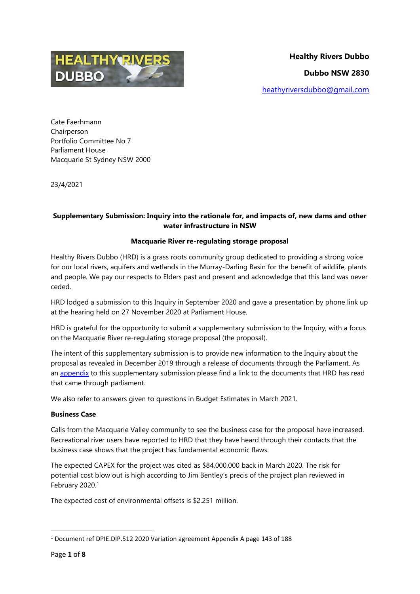

Cate Faerhmann Chairperson Portfolio Committee No 7 Parliament House Macquarie St Sydney NSW 2000

23/4/2021

# **Supplementary Submission: Inquiry into the rationale for, and impacts of, new dams and other water infrastructure in NSW**

### **Macquarie River re-regulating storage proposal**

Healthy Rivers Dubbo (HRD) is a grass roots community group dedicated to providing a strong voice for our local rivers, aquifers and wetlands in the Murray-Darling Basin for the benefit of wildlife, plants and people. We pay our respects to Elders past and present and acknowledge that this land was never ceded.

HRD lodged a submission to this Inquiry in September 2020 and gave a presentation by phone link up at the hearing held on 27 November 2020 at Parliament House.

HRD is grateful for the opportunity to submit a supplementary submission to the Inquiry, with a focus on the Macquarie River re-regulating storage proposal (the proposal).

The intent of this supplementary submission is to provide new information to the Inquiry about the proposal as revealed in December 2019 through a release of documents through the Parliament. As an [appendix](#page-7-0) to this supplementary submission please find a link to the documents that HRD has read that came through parliament.

We also refer to answers given to questions in Budget Estimates in March 2021.

## **Business Case**

Calls from the Macquarie Valley community to see the business case for the proposal have increased. Recreational river users have reported to HRD that they have heard through their contacts that the business case shows that the project has fundamental economic flaws.

The expected CAPEX for the project was cited as \$84,000,000 back in March 2020. The risk for potential cost blow out is high according to Jim Bentley's precis of the project plan reviewed in February 2020.<sup>1</sup>

The expected cost of environmental offsets is \$2.251 million.

<sup>1</sup> Document ref DPIE.DIP.512 2020 Variation agreement Appendix A page 143 of 188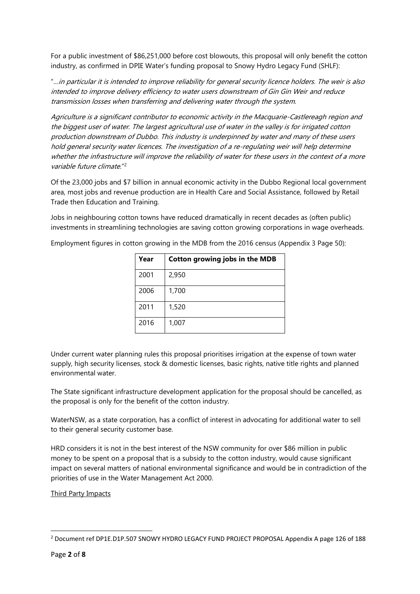For a public investment of \$86,251,000 before cost blowouts, this proposal will only benefit the cotton industry, as confirmed in DPIE Water's funding proposal to Snowy Hydro Legacy Fund (SHLF):

"…in particular it is intended to improve reliability for general security licence holders. The weir is also intended to improve delivery efficiency to water users downstream of Gin Gin Weir and reduce transmission losses when transferring and delivering water through the system.

Agriculture is a significant contributor to economic activity in the Macquarie-Castlereagh region and the biggest user of water. The largest agricultural use of water in the valley is for irrigated cotton production downstream of Dubbo. This industry is underpinned by water and many of these users hold general security water licences. The investigation of a re-regulating weir will help determine whether the infrastructure will improve the reliability of water for these users in the context of a more variable future climate."<sup>2</sup>

Of the 23,000 jobs and \$7 billion in annual economic activity in the Dubbo Regional local government area, most jobs and revenue production are in Health Care and Social Assistance, followed by Retail Trade then Education and Training.

Jobs in neighbouring cotton towns have reduced dramatically in recent decades as (often public) investments in streamlining technologies are saving cotton growing corporations in wage overheads.

| Year | <b>Cotton growing jobs in the MDB</b> |
|------|---------------------------------------|
| 2001 | 2,950                                 |
| 2006 | 1,700                                 |
| 2011 | 1,520                                 |
| 2016 | 1,007                                 |

Employment figures in cotton growing in the MDB from the 2016 census (Appendix 3 Page 50):

Under current water planning rules this proposal prioritises irrigation at the expense of town water supply, high security licenses, stock & domestic licenses, basic rights, native title rights and planned environmental water.

The State significant infrastructure development application for the proposal should be cancelled, as the proposal is only for the benefit of the cotton industry.

WaterNSW, as a state corporation, has a conflict of interest in advocating for additional water to sell to their general security customer base.

HRD considers it is not in the best interest of the NSW community for over \$86 million in public money to be spent on a proposal that is a subsidy to the cotton industry, would cause significant impact on several matters of national environmental significance and would be in contradiction of the priorities of use in the Water Management Act 2000.

Third Party Impacts

<sup>2</sup> Document ref DP1E.D1P.507 SNOWY HYDRO LEGACY FUND PROJECT PROPOSAL Appendix A page 126 of 188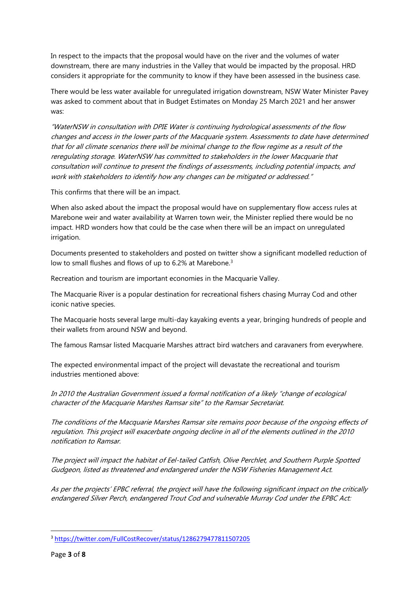In respect to the impacts that the proposal would have on the river and the volumes of water downstream, there are many industries in the Valley that would be impacted by the proposal. HRD considers it appropriate for the community to know if they have been assessed in the business case.

There would be less water available for unregulated irrigation downstream, NSW Water Minister Pavey was asked to comment about that in Budget Estimates on Monday 25 March 2021 and her answer was:

"WaterNSW in consultation with DPIE Water is continuing hydrological assessments of the flow changes and access in the lower parts of the Macquarie system. Assessments to date have determined that for all climate scenarios there will be minimal change to the flow regime as a result of the reregulating storage. WaterNSW has committed to stakeholders in the lower Macquarie that consultation will continue to present the findings of assessments, including potential impacts, and work with stakeholders to identify how any changes can be mitigated or addressed."

This confirms that there will be an impact.

When also asked about the impact the proposal would have on supplementary flow access rules at Marebone weir and water availability at Warren town weir, the Minister replied there would be no impact. HRD wonders how that could be the case when there will be an impact on unregulated irrigation.

Documents presented to stakeholders and posted on twitter show a significant modelled reduction of low to small flushes and flows of up to 6.2% at Marebone.<sup>3</sup>

Recreation and tourism are important economies in the Macquarie Valley.

The Macquarie River is a popular destination for recreational fishers chasing Murray Cod and other iconic native species.

The Macquarie hosts several large multi-day kayaking events a year, bringing hundreds of people and their wallets from around NSW and beyond.

The famous Ramsar listed Macquarie Marshes attract bird watchers and caravaners from everywhere.

The expected environmental impact of the project will devastate the recreational and tourism industries mentioned above:

In 2010 the Australian Government issued a formal notification of a likely "change of ecological character of the Macquarie Marshes Ramsar site" to the Ramsar Secretariat.

The conditions of the Macquarie Marshes Ramsar site remains poor because of the ongoing effects of regulation. This project will exacerbate ongoing decline in all of the elements outlined in the 2010 notification to Ramsar.

The project will impact the habitat of Eel-tailed Catfish, Olive Perchlet, and Southern Purple Spotted Gudgeon, listed as threatened and endangered under the NSW Fisheries Management Act.

As per the projects' EPBC referral, the project will have the following significant impact on the critically endangered Silver Perch, endangered Trout Cod and vulnerable Murray Cod under the EPBC Act:

<sup>3</sup> <https://twitter.com/FullCostRecover/status/1286279477811507205>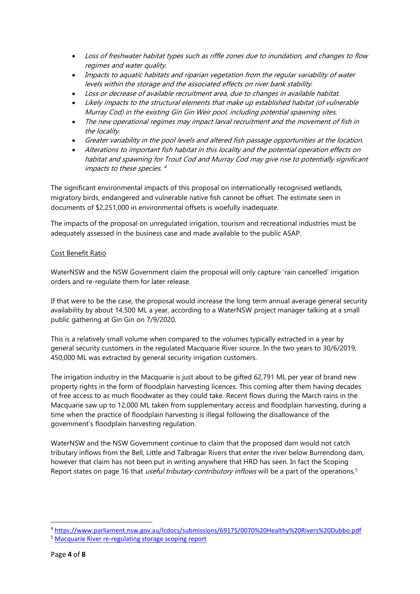- Loss of freshwater habitat types such as riffle zones due to inundation, and changes to flow regimes and water quality.
- Impacts to aquatic habitats and riparian vegetation from the regular variability of water levels within the storage and the associated effects on river bank stability.
- Loss or decrease of available recruitment area, due to changes in available habitat.
- Likely impacts to the structural elements that make up established habitat (of vulnerable Murray Cod) in the existing Gin Gin Weir pool, including potential spawning sites.
- The new operational regimes may impact larval recruitment and the movement of fish in the locality.
- Greater variability in the pool levels and altered fish passage opportunities at the location.
- Alterations to important fish habitat in this locality and the potential operation effects on habitat and spawning for Trout Cod and Murray Cod may give rise to potentially significant impacts to these species. 4

The significant environmental impacts of this proposal on internationally recognised wetlands, migratory birds, endangered and vulnerable native fish cannot be offset. The estimate seen in documents of \$2,251,000 in environmental offsets is woefully inadequate.

The impacts of the proposal on unregulated irrigation, tourism and recreational industries must be adequately assessed in the business case and made available to the public ASAP.

### Cost Benefit Ratio

WaterNSW and the NSW Government claim the proposal will only capture 'rain cancelled' irrigation orders and re-regulate them for later release.

If that were to be the case, the proposal would increase the long term annual average general security availability by about 14,500 ML a year, according to a WaterNSW project manager talking at a small public gathering at Gin Gin on 7/9/2020.

This is a relatively small volume when compared to the volumes typically extracted in a year by general security customers in the regulated Macquarie River source. In the two years to 30/6/2019, 450,000 ML was extracted by general security irrigation customers.

The irrigation industry in the Macquarie is just about to be gifted 62,791 ML per year of brand new property rights in the form of floodplain harvesting licences. This coming after them having decades of free access to as much floodwater as they could take. Recent flows during the March rains in the Macquarie saw up to 12,000 ML taken from supplementary access and floodplain harvesting, during a time when the practice of floodplain harvesting is illegal following the disallowance of the government's floodplain harvesting regulation.

WaterNSW and the NSW Government continue to claim that the proposed dam would not catch tributary inflows from the Bell, Little and Talbragar Rivers that enter the river below Burrendong dam, however that claim has not been put in writing anywhere that HRD has seen. In fact the Scoping Report states on page 16 that *useful tributary contributory inflows* will be a part of the operations.<sup>5</sup>

<sup>4</sup> <https://www.parliament.nsw.gov.au/lcdocs/submissions/69175/0070%20Healthy%20Rivers%20Dubbo.pdf>

<sup>5</sup> [Macquarie River re-regulating storage scoping report](https://majorprojects.planningportal.nsw.gov.au/prweb/PRRestService/mp/01/getContent?AttachRef=PDA-1315%2120200303T024253.055%20GMT)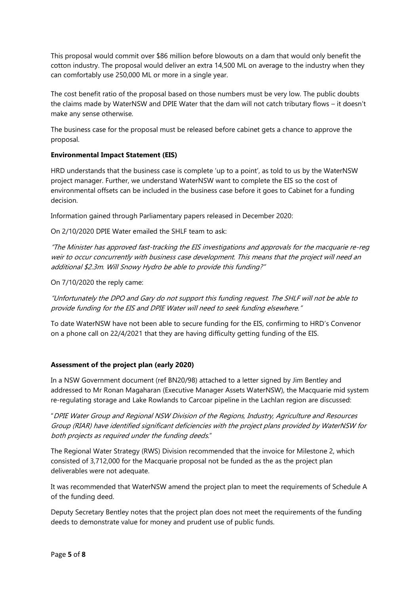This proposal would commit over \$86 million before blowouts on a dam that would only benefit the cotton industry. The proposal would deliver an extra 14,500 ML on average to the industry when they can comfortably use 250,000 ML or more in a single year.

The cost benefit ratio of the proposal based on those numbers must be very low. The public doubts the claims made by WaterNSW and DPIE Water that the dam will not catch tributary flows – it doesn't make any sense otherwise.

The business case for the proposal must be released before cabinet gets a chance to approve the proposal.

### **Environmental Impact Statement (EIS)**

HRD understands that the business case is complete 'up to a point', as told to us by the WaterNSW project manager. Further, we understand WaterNSW want to complete the EIS so the cost of environmental offsets can be included in the business case before it goes to Cabinet for a funding decision.

Information gained through Parliamentary papers released in December 2020:

On 2/10/2020 DPIE Water emailed the SHLF team to ask:

"The Minister has approved fast-tracking the EIS investigations and approvals for the macquarie re-reg weir to occur concurrently with business case development. This means that the project will need an additional \$2.3m. Will Snowy Hydro be able to provide this funding?"

On 7/10/2020 the reply came:

"Unfortunately the DPO and Gary do not support this funding request. The SHLF will not be able to provide funding for the EIS and DPIE Water will need to seek funding elsewhere."

To date WaterNSW have not been able to secure funding for the EIS, confirming to HRD's Convenor on a phone call on 22/4/2021 that they are having difficulty getting funding of the EIS.

## **Assessment of the project plan (early 2020)**

In a NSW Government document (ref BN20/98) attached to a letter signed by Jim Bentley and addressed to Mr Ronan Magaharan (Executive Manager Assets WaterNSW), the Macquarie mid system re-regulating storage and Lake Rowlands to Carcoar pipeline in the Lachlan region are discussed:

"DPIE Water Group and Regional NSW Division of the Regions, Industry, Agriculture and Resources Group (RIAR) have identified significant deficiencies with the project plans provided by WaterNSW for both projects as required under the funding deeds."

The Regional Water Strategy (RWS) Division recommended that the invoice for Milestone 2, which consisted of 3,712,000 for the Macquarie proposal not be funded as the as the project plan deliverables were not adequate.

It was recommended that WaterNSW amend the project plan to meet the requirements of Schedule A of the funding deed.

Deputy Secretary Bentley notes that the project plan does not meet the requirements of the funding deeds to demonstrate value for money and prudent use of public funds.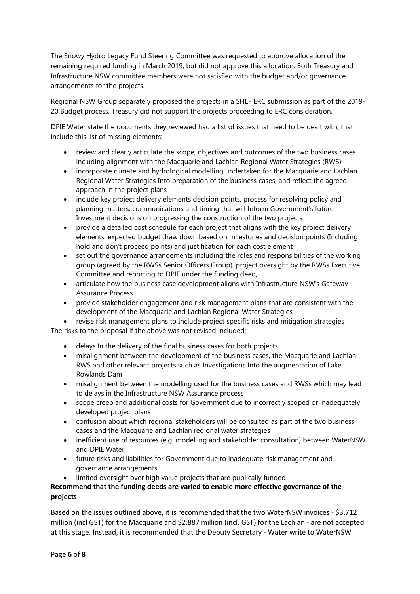The Snowy Hydro Legacy Fund Steering Committee was requested to approve allocation of the remaining required funding in March 2019, but did not approve this allocation. Both Treasury and Infrastructure NSW committee members were not satisfied with the budget and/or governance arrangements for the projects.

Regional NSW Group separately proposed the projects in a SHLF ERC submission as part of the 2019- 20 Budget process. Treasury did not support the projects proceeding to ERC consideration.

DPIE Water state the documents they reviewed had a list of issues that need to be dealt with, that include this list of missing elements:

- review and clearly articulate the scope, objectives and outcomes of the two business cases including alignment with the Macquarie and Lachlan Regional Water Strategies (RWS)
- incorporate climate and hydrological modelling undertaken for the Macquarie and Lachlan Regional Water Strategies Into preparation of the business cases, and reflect the agreed approach in the project plans
- include key project delivery elements decision points, process for resolving policy and planning matters, communications and timing that will Inform Government's future Investment decisions on progressing the construction of the two projects
- provide a detailed cost schedule for each project that aligns with the key project delivery elements; expected budget draw down based on milestones and decision points (Including hold and don't proceed points) and justification for each cost element
- set out the governance arrangements including the roles and responsibilities of the working group (agreed by the RWSs Senior Officers Group), project oversight by the RWSs Executive Committee and reporting to DPIE under the funding deed,
- articulate how the business case development aligns with Infrastructure NSW's Gateway Assurance Process
- provide stakeholder engagement and risk management plans that are consistent with the development of the Macquarie and Lachlan Regional Water Strategies

 revise risk management plans to Include project specific risks and mitigation strategies The risks to the proposal if the above was not revised included:

- delays In the delivery of the final business cases for both projects
- misalignment between the development of the business cases, the Macquarie and Lachlan RWS and other relevant projects such as Investigations Into the augmentation of Lake Rowlands Dam
- misalignment between the modelling used for the business cases and RWSs which may lead to delays in the Infrastructure NSW Assurance process
- scope creep and additional costs for Government due to incorrectly scoped or inadequately developed project plans
- confusion about which regional stakeholders will be consulted as part of the two business cases and the Macquarie and Lachlan regional water strategies
- inefficient use of resources (e.g. modelling and stakeholder consultation) between WaterNSW and DPIE Water
- future risks and liabilities for Government due to inadequate risk management and governance arrangements
- limited oversight over high value projects that are publically funded

# **Recommend that the funding deeds are varied to enable more effective governance of the projects**

Based on the issues outlined above, it is recommended that the two WaterNSW invoices - \$3,712 million (incl GST) for the Macquarie and \$2,887 million (incl. GST) for the Lachlan - are not accepted at this stage. Instead, it is recommended that the Deputy Secretary - Water write to WaterNSW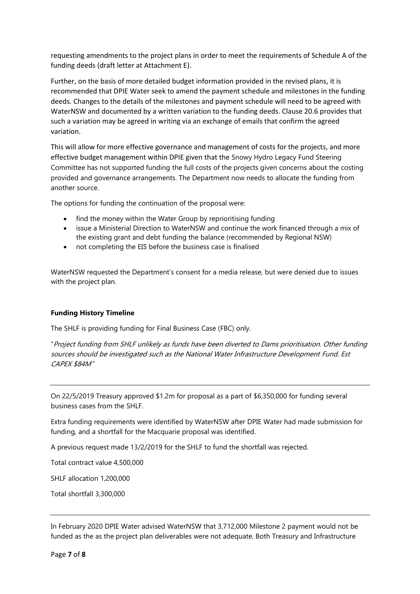requesting amendments to the project plans in order to meet the requirements of Schedule A of the funding deeds (draft letter at Attachment E).

Further, on the basis of more detailed budget information provided in the revised plans, it is recommended that DPIE Water seek to amend the payment schedule and milestones in the funding deeds. Changes to the details of the milestones and payment schedule will need to be agreed with WaterNSW and documented by a written variation to the funding deeds. Clause 20.6 provides that such a variation may be agreed in writing via an exchange of emails that confirm the agreed variation.

This will allow for more effective governance and management of costs for the projects, and more effective budget management within DPIE given that the Snowy Hydro Legacy Fund Steering Committee has not supported funding the full costs of the projects given concerns about the costing provided and governance arrangements. The Department now needs to allocate the funding from another source.

The options for funding the continuation of the proposal were:

- find the money within the Water Group by reprioritising funding
- issue a Ministerial Direction to WaterNSW and continue the work financed through a mix of the existing grant and debt funding the balance (recommended by Regional NSW)
- not completing the EIS before the business case is finalised

WaterNSW requested the Department's consent for a media release, but were denied due to issues with the project plan.

#### **Funding History Timeline**

The SHLF is providing funding for Final Business Case (FBC) only.

"Project funding from SHLF unlikely as funds have been diverted to Dams prioritisation. Other funding sources should be investigated such as the National Water Infrastructure Development Fund. Est CAPEX \$84M"

On 22/5/2019 Treasury approved \$1.2m for proposal as a part of \$6,350,000 for funding several business cases from the SHLF.

Extra funding requirements were identified by WaterNSW after DPIE Water had made submission for funding, and a shortfall for the Macquarie proposal was identified.

A previous request made 13/2/2019 for the SHLF to fund the shortfall was rejected.

Total contract value 4,500,000

SHLF allocation 1,200,000

Total shortfall 3,300,000

In February 2020 DPIE Water advised WaterNSW that 3,712,000 Milestone 2 payment would not be funded as the as the project plan deliverables were not adequate. Both Treasury and Infrastructure